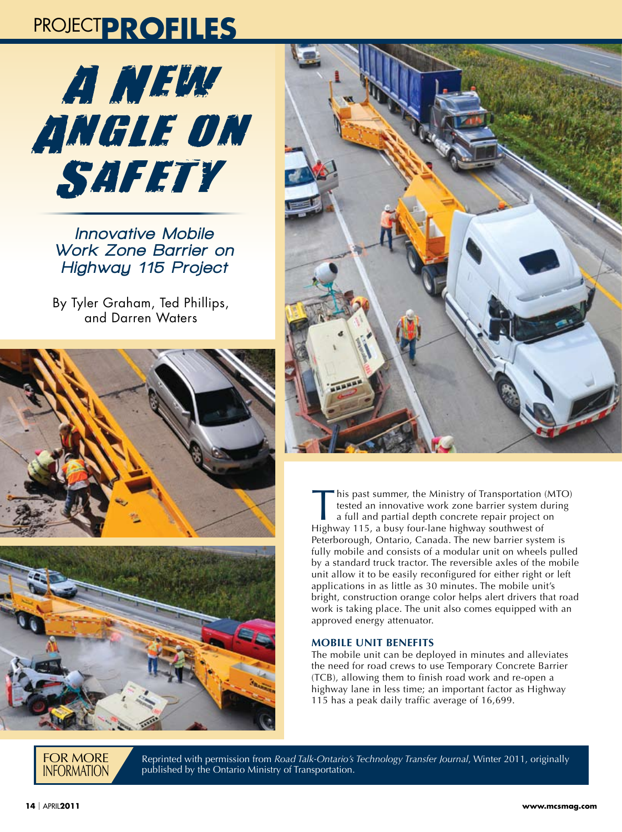## PROJECT**PROFILES**

A NEW **ANGLE ON** SAFETY

Innovative Mobile Work Zone Barrier on Highway 115 Project

By Tyler Graham, Ted Phillips, and Darren Waters







This past summer, the Ministry of Transportation (MTO)<br>
tested an innovative work zone barrier system during<br>
a full and partial depth concrete repair project on<br>
Highway 115, a busy four-lane bighway southwest of tested an innovative work zone barrier system during Highway 115, a busy four-lane highway southwest of Peterborough, Ontario, Canada. The new barrier system is fully mobile and consists of a modular unit on wheels pulled by a standard truck tractor. The reversible axles of the mobile unit allow it to be easily reconfigured for either right or left applications in as little as 30 minutes. The mobile unit's bright, construction orange color helps alert drivers that road work is taking place. The unit also comes equipped with an approved energy attenuator.

## **MOBILE UNIT BENEFITS**

The mobile unit can be deployed in minutes and alleviates the need for road crews to use Temporary Concrete Barrier (TCB), allowing them to finish road work and re-open a highway lane in less time; an important factor as Highway 115 has a peak daily traffic average of 16,699.

**FOR MORE** information

Reprinted with permission from *Road Talk-Ontario's Technology Transfer Journal*, Winter 2011, originally published by the Ontario Ministry of Transportation.